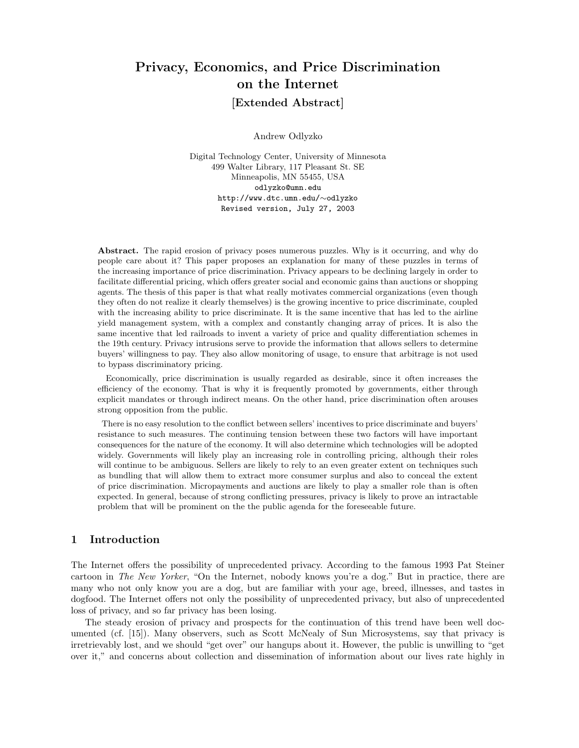# Privacy, Economics, and Price Discrimination on the Internet [Extended Abstract]

Andrew Odlyzko

Digital Technology Center, University of Minnesota 499 Walter Library, 117 Pleasant St. SE Minneapolis, MN 55455, USA odlyzko@umn.edu http://www.dtc.umn.edu/∼odlyzko Revised version, July 27, 2003

Abstract. The rapid erosion of privacy poses numerous puzzles. Why is it occurring, and why do people care about it? This paper proposes an explanation for many of these puzzles in terms of the increasing importance of price discrimination. Privacy appears to be declining largely in order to facilitate differential pricing, which offers greater social and economic gains than auctions or shopping agents. The thesis of this paper is that what really motivates commercial organizations (even though they often do not realize it clearly themselves) is the growing incentive to price discriminate, coupled with the increasing ability to price discriminate. It is the same incentive that has led to the airline yield management system, with a complex and constantly changing array of prices. It is also the same incentive that led railroads to invent a variety of price and quality differentiation schemes in the 19th century. Privacy intrusions serve to provide the information that allows sellers to determine buyers' willingness to pay. They also allow monitoring of usage, to ensure that arbitrage is not used to bypass discriminatory pricing.

Economically, price discrimination is usually regarded as desirable, since it often increases the efficiency of the economy. That is why it is frequently promoted by governments, either through explicit mandates or through indirect means. On the other hand, price discrimination often arouses strong opposition from the public.

There is no easy resolution to the conflict between sellers' incentives to price discriminate and buyers' resistance to such measures. The continuing tension between these two factors will have important consequences for the nature of the economy. It will also determine which technologies will be adopted widely. Governments will likely play an increasing role in controlling pricing, although their roles will continue to be ambiguous. Sellers are likely to rely to an even greater extent on techniques such as bundling that will allow them to extract more consumer surplus and also to conceal the extent of price discrimination. Micropayments and auctions are likely to play a smaller role than is often expected. In general, because of strong conflicting pressures, privacy is likely to prove an intractable problem that will be prominent on the the public agenda for the foreseeable future.

# 1 Introduction

The Internet offers the possibility of unprecedented privacy. According to the famous 1993 Pat Steiner cartoon in The New Yorker, "On the Internet, nobody knows you're a dog." But in practice, there are many who not only know you are a dog, but are familiar with your age, breed, illnesses, and tastes in dogfood. The Internet offers not only the possibility of unprecedented privacy, but also of unprecedented loss of privacy, and so far privacy has been losing.

The steady erosion of privacy and prospects for the continuation of this trend have been well documented (cf. [15]). Many observers, such as Scott McNealy of Sun Microsystems, say that privacy is irretrievably lost, and we should "get over" our hangups about it. However, the public is unwilling to "get over it," and concerns about collection and dissemination of information about our lives rate highly in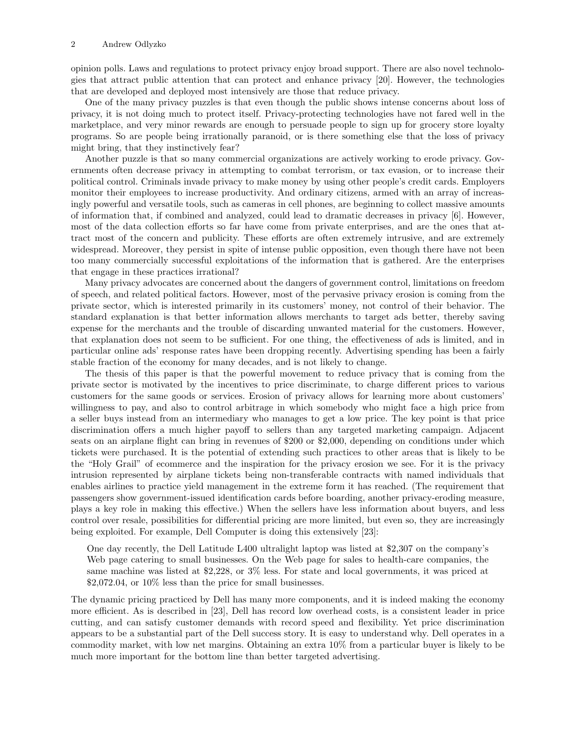opinion polls. Laws and regulations to protect privacy enjoy broad support. There are also novel technologies that attract public attention that can protect and enhance privacy [20]. However, the technologies that are developed and deployed most intensively are those that reduce privacy.

One of the many privacy puzzles is that even though the public shows intense concerns about loss of privacy, it is not doing much to protect itself. Privacy-protecting technologies have not fared well in the marketplace, and very minor rewards are enough to persuade people to sign up for grocery store loyalty programs. So are people being irrationally paranoid, or is there something else that the loss of privacy might bring, that they instinctively fear?

Another puzzle is that so many commercial organizations are actively working to erode privacy. Governments often decrease privacy in attempting to combat terrorism, or tax evasion, or to increase their political control. Criminals invade privacy to make money by using other people's credit cards. Employers monitor their employees to increase productivity. And ordinary citizens, armed with an array of increasingly powerful and versatile tools, such as cameras in cell phones, are beginning to collect massive amounts of information that, if combined and analyzed, could lead to dramatic decreases in privacy [6]. However, most of the data collection efforts so far have come from private enterprises, and are the ones that attract most of the concern and publicity. These efforts are often extremely intrusive, and are extremely widespread. Moreover, they persist in spite of intense public opposition, even though there have not been too many commercially successful exploitations of the information that is gathered. Are the enterprises that engage in these practices irrational?

Many privacy advocates are concerned about the dangers of government control, limitations on freedom of speech, and related political factors. However, most of the pervasive privacy erosion is coming from the private sector, which is interested primarily in its customers' money, not control of their behavior. The standard explanation is that better information allows merchants to target ads better, thereby saving expense for the merchants and the trouble of discarding unwanted material for the customers. However, that explanation does not seem to be sufficient. For one thing, the effectiveness of ads is limited, and in particular online ads' response rates have been dropping recently. Advertising spending has been a fairly stable fraction of the economy for many decades, and is not likely to change.

The thesis of this paper is that the powerful movement to reduce privacy that is coming from the private sector is motivated by the incentives to price discriminate, to charge different prices to various customers for the same goods or services. Erosion of privacy allows for learning more about customers' willingness to pay, and also to control arbitrage in which somebody who might face a high price from a seller buys instead from an intermediary who manages to get a low price. The key point is that price discrimination offers a much higher payoff to sellers than any targeted marketing campaign. Adjacent seats on an airplane flight can bring in revenues of \$200 or \$2,000, depending on conditions under which tickets were purchased. It is the potential of extending such practices to other areas that is likely to be the "Holy Grail" of ecommerce and the inspiration for the privacy erosion we see. For it is the privacy intrusion represented by airplane tickets being non-transferable contracts with named individuals that enables airlines to practice yield management in the extreme form it has reached. (The requirement that passengers show government-issued identification cards before boarding, another privacy-eroding measure, plays a key role in making this effective.) When the sellers have less information about buyers, and less control over resale, possibilities for differential pricing are more limited, but even so, they are increasingly being exploited. For example, Dell Computer is doing this extensively [23]:

One day recently, the Dell Latitude L400 ultralight laptop was listed at \$2,307 on the company's Web page catering to small businesses. On the Web page for sales to health-care companies, the same machine was listed at \$2,228, or 3% less. For state and local governments, it was priced at \$2,072.04, or 10% less than the price for small businesses.

The dynamic pricing practiced by Dell has many more components, and it is indeed making the economy more efficient. As is described in [23], Dell has record low overhead costs, is a consistent leader in price cutting, and can satisfy customer demands with record speed and flexibility. Yet price discrimination appears to be a substantial part of the Dell success story. It is easy to understand why. Dell operates in a commodity market, with low net margins. Obtaining an extra 10% from a particular buyer is likely to be much more important for the bottom line than better targeted advertising.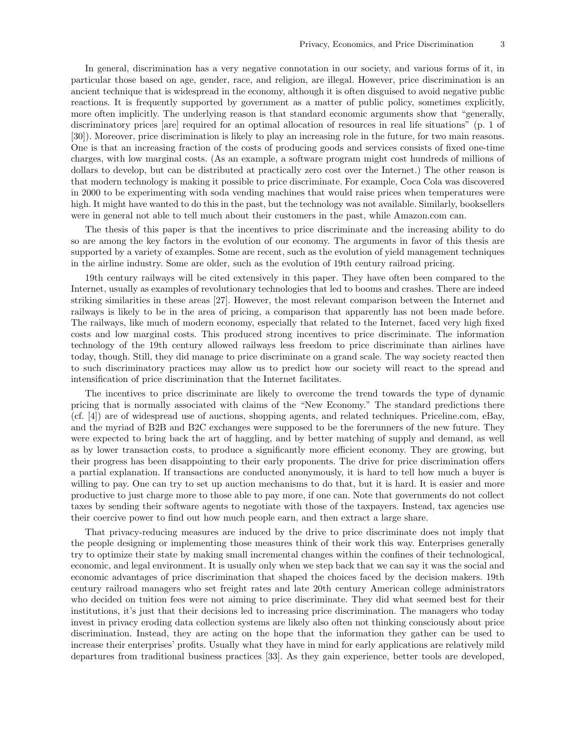In general, discrimination has a very negative connotation in our society, and various forms of it, in particular those based on age, gender, race, and religion, are illegal. However, price discrimination is an ancient technique that is widespread in the economy, although it is often disguised to avoid negative public reactions. It is frequently supported by government as a matter of public policy, sometimes explicitly, more often implicitly. The underlying reason is that standard economic arguments show that "generally, discriminatory prices [are] required for an optimal allocation of resources in real life situations" (p. 1 of [30]). Moreover, price discrimination is likely to play an increasing role in the future, for two main reasons. One is that an increasing fraction of the costs of producing goods and services consists of fixed one-time charges, with low marginal costs. (As an example, a software program might cost hundreds of millions of dollars to develop, but can be distributed at practically zero cost over the Internet.) The other reason is that modern technology is making it possible to price discriminate. For example, Coca Cola was discovered in 2000 to be experimenting with soda vending machines that would raise prices when temperatures were high. It might have wanted to do this in the past, but the technology was not available. Similarly, booksellers were in general not able to tell much about their customers in the past, while Amazon.com can.

The thesis of this paper is that the incentives to price discriminate and the increasing ability to do so are among the key factors in the evolution of our economy. The arguments in favor of this thesis are supported by a variety of examples. Some are recent, such as the evolution of yield management techniques in the airline industry. Some are older, such as the evolution of 19th century railroad pricing.

19th century railways will be cited extensively in this paper. They have often been compared to the Internet, usually as examples of revolutionary technologies that led to booms and crashes. There are indeed striking similarities in these areas [27]. However, the most relevant comparison between the Internet and railways is likely to be in the area of pricing, a comparison that apparently has not been made before. The railways, like much of modern economy, especially that related to the Internet, faced very high fixed costs and low marginal costs. This produced strong incentives to price discriminate. The information technology of the 19th century allowed railways less freedom to price discriminate than airlines have today, though. Still, they did manage to price discriminate on a grand scale. The way society reacted then to such discriminatory practices may allow us to predict how our society will react to the spread and intensification of price discrimination that the Internet facilitates.

The incentives to price discriminate are likely to overcome the trend towards the type of dynamic pricing that is normally associated with claims of the "New Economy." The standard predictions there (cf. [4]) are of widespread use of auctions, shopping agents, and related techniques. Priceline.com, eBay, and the myriad of B2B and B2C exchanges were supposed to be the forerunners of the new future. They were expected to bring back the art of haggling, and by better matching of supply and demand, as well as by lower transaction costs, to produce a significantly more efficient economy. They are growing, but their progress has been disappointing to their early proponents. The drive for price discrimination offers a partial explanation. If transactions are conducted anonymously, it is hard to tell how much a buyer is willing to pay. One can try to set up auction mechanisms to do that, but it is hard. It is easier and more productive to just charge more to those able to pay more, if one can. Note that governments do not collect taxes by sending their software agents to negotiate with those of the taxpayers. Instead, tax agencies use their coercive power to find out how much people earn, and then extract a large share.

That privacy-reducing measures are induced by the drive to price discriminate does not imply that the people designing or implementing those measures think of their work this way. Enterprises generally try to optimize their state by making small incremental changes within the confines of their technological, economic, and legal environment. It is usually only when we step back that we can say it was the social and economic advantages of price discrimination that shaped the choices faced by the decision makers. 19th century railroad managers who set freight rates and late 20th century American college administrators who decided on tuition fees were not aiming to price discriminate. They did what seemed best for their institutions, it's just that their decisions led to increasing price discrimination. The managers who today invest in privacy eroding data collection systems are likely also often not thinking consciously about price discrimination. Instead, they are acting on the hope that the information they gather can be used to increase their enterprises' profits. Usually what they have in mind for early applications are relatively mild departures from traditional business practices [33]. As they gain experience, better tools are developed,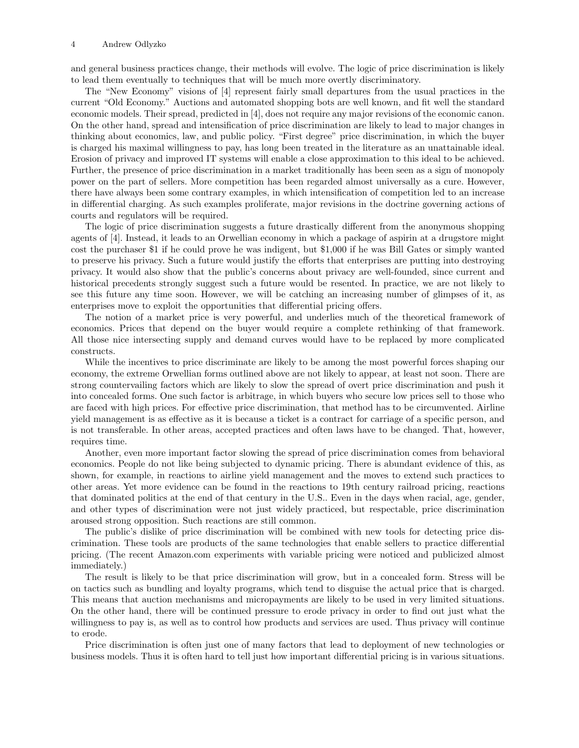and general business practices change, their methods will evolve. The logic of price discrimination is likely to lead them eventually to techniques that will be much more overtly discriminatory.

The "New Economy" visions of [4] represent fairly small departures from the usual practices in the current "Old Economy." Auctions and automated shopping bots are well known, and fit well the standard economic models. Their spread, predicted in [4], does not require any major revisions of the economic canon. On the other hand, spread and intensification of price discrimination are likely to lead to major changes in thinking about economics, law, and public policy. "First degree" price discrimination, in which the buyer is charged his maximal willingness to pay, has long been treated in the literature as an unattainable ideal. Erosion of privacy and improved IT systems will enable a close approximation to this ideal to be achieved. Further, the presence of price discrimination in a market traditionally has been seen as a sign of monopoly power on the part of sellers. More competition has been regarded almost universally as a cure. However, there have always been some contrary examples, in which intensification of competition led to an increase in differential charging. As such examples proliferate, major revisions in the doctrine governing actions of courts and regulators will be required.

The logic of price discrimination suggests a future drastically different from the anonymous shopping agents of [4]. Instead, it leads to an Orwellian economy in which a package of aspirin at a drugstore might cost the purchaser \$1 if he could prove he was indigent, but \$1,000 if he was Bill Gates or simply wanted to preserve his privacy. Such a future would justify the efforts that enterprises are putting into destroying privacy. It would also show that the public's concerns about privacy are well-founded, since current and historical precedents strongly suggest such a future would be resented. In practice, we are not likely to see this future any time soon. However, we will be catching an increasing number of glimpses of it, as enterprises move to exploit the opportunities that differential pricing offers.

The notion of a market price is very powerful, and underlies much of the theoretical framework of economics. Prices that depend on the buyer would require a complete rethinking of that framework. All those nice intersecting supply and demand curves would have to be replaced by more complicated constructs.

While the incentives to price discriminate are likely to be among the most powerful forces shaping our economy, the extreme Orwellian forms outlined above are not likely to appear, at least not soon. There are strong countervailing factors which are likely to slow the spread of overt price discrimination and push it into concealed forms. One such factor is arbitrage, in which buyers who secure low prices sell to those who are faced with high prices. For effective price discrimination, that method has to be circumvented. Airline yield management is as effective as it is because a ticket is a contract for carriage of a specific person, and is not transferable. In other areas, accepted practices and often laws have to be changed. That, however, requires time.

Another, even more important factor slowing the spread of price discrimination comes from behavioral economics. People do not like being subjected to dynamic pricing. There is abundant evidence of this, as shown, for example, in reactions to airline yield management and the moves to extend such practices to other areas. Yet more evidence can be found in the reactions to 19th century railroad pricing, reactions that dominated politics at the end of that century in the U.S.. Even in the days when racial, age, gender, and other types of discrimination were not just widely practiced, but respectable, price discrimination aroused strong opposition. Such reactions are still common.

The public's dislike of price discrimination will be combined with new tools for detecting price discrimination. These tools are products of the same technologies that enable sellers to practice differential pricing. (The recent Amazon.com experiments with variable pricing were noticed and publicized almost immediately.)

The result is likely to be that price discrimination will grow, but in a concealed form. Stress will be on tactics such as bundling and loyalty programs, which tend to disguise the actual price that is charged. This means that auction mechanisms and micropayments are likely to be used in very limited situations. On the other hand, there will be continued pressure to erode privacy in order to find out just what the willingness to pay is, as well as to control how products and services are used. Thus privacy will continue to erode.

Price discrimination is often just one of many factors that lead to deployment of new technologies or business models. Thus it is often hard to tell just how important differential pricing is in various situations.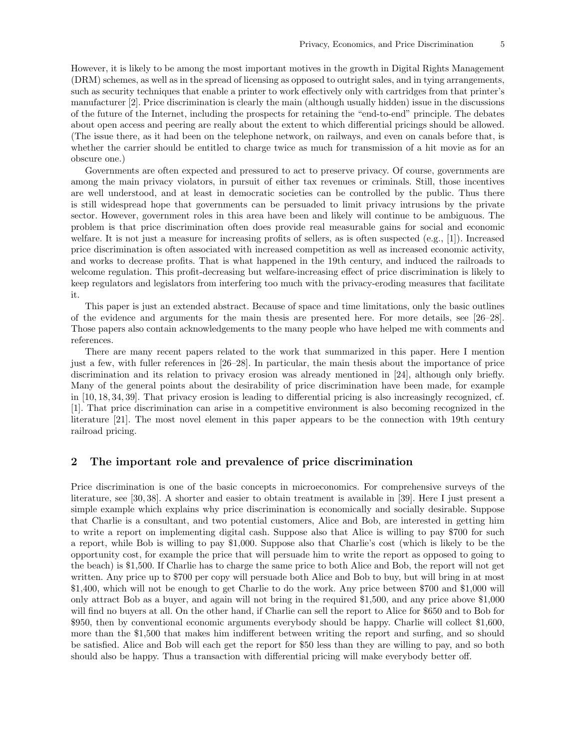However, it is likely to be among the most important motives in the growth in Digital Rights Management (DRM) schemes, as well as in the spread of licensing as opposed to outright sales, and in tying arrangements, such as security techniques that enable a printer to work effectively only with cartridges from that printer's manufacturer [2]. Price discrimination is clearly the main (although usually hidden) issue in the discussions of the future of the Internet, including the prospects for retaining the "end-to-end" principle. The debates about open access and peering are really about the extent to which differential pricings should be allowed. (The issue there, as it had been on the telephone network, on railways, and even on canals before that, is whether the carrier should be entitled to charge twice as much for transmission of a hit movie as for an obscure one.)

Governments are often expected and pressured to act to preserve privacy. Of course, governments are among the main privacy violators, in pursuit of either tax revenues or criminals. Still, those incentives are well understood, and at least in democratic societies can be controlled by the public. Thus there is still widespread hope that governments can be persuaded to limit privacy intrusions by the private sector. However, government roles in this area have been and likely will continue to be ambiguous. The problem is that price discrimination often does provide real measurable gains for social and economic welfare. It is not just a measure for increasing profits of sellers, as is often suspected (e.g., [1]). Increased price discrimination is often associated with increased competition as well as increased economic activity, and works to decrease profits. That is what happened in the 19th century, and induced the railroads to welcome regulation. This profit-decreasing but welfare-increasing effect of price discrimination is likely to keep regulators and legislators from interfering too much with the privacy-eroding measures that facilitate it.

This paper is just an extended abstract. Because of space and time limitations, only the basic outlines of the evidence and arguments for the main thesis are presented here. For more details, see [26–28]. Those papers also contain acknowledgements to the many people who have helped me with comments and references.

There are many recent papers related to the work that summarized in this paper. Here I mention just a few, with fuller references in [26–28]. In particular, the main thesis about the importance of price discrimination and its relation to privacy erosion was already mentioned in [24], although only briefly. Many of the general points about the desirability of price discrimination have been made, for example in [10, 18, 34, 39]. That privacy erosion is leading to differential pricing is also increasingly recognized, cf. [1]. That price discrimination can arise in a competitive environment is also becoming recognized in the literature [21]. The most novel element in this paper appears to be the connection with 19th century railroad pricing.

# 2 The important role and prevalence of price discrimination

Price discrimination is one of the basic concepts in microeconomics. For comprehensive surveys of the literature, see [30, 38]. A shorter and easier to obtain treatment is available in [39]. Here I just present a simple example which explains why price discrimination is economically and socially desirable. Suppose that Charlie is a consultant, and two potential customers, Alice and Bob, are interested in getting him to write a report on implementing digital cash. Suppose also that Alice is willing to pay \$700 for such a report, while Bob is willing to pay \$1,000. Suppose also that Charlie's cost (which is likely to be the opportunity cost, for example the price that will persuade him to write the report as opposed to going to the beach) is \$1,500. If Charlie has to charge the same price to both Alice and Bob, the report will not get written. Any price up to \$700 per copy will persuade both Alice and Bob to buy, but will bring in at most \$1,400, which will not be enough to get Charlie to do the work. Any price between \$700 and \$1,000 will only attract Bob as a buyer, and again will not bring in the required \$1,500, and any price above \$1,000 will find no buyers at all. On the other hand, if Charlie can sell the report to Alice for \$650 and to Bob for \$950, then by conventional economic arguments everybody should be happy. Charlie will collect \$1,600, more than the \$1,500 that makes him indifferent between writing the report and surfing, and so should be satisfied. Alice and Bob will each get the report for \$50 less than they are willing to pay, and so both should also be happy. Thus a transaction with differential pricing will make everybody better off.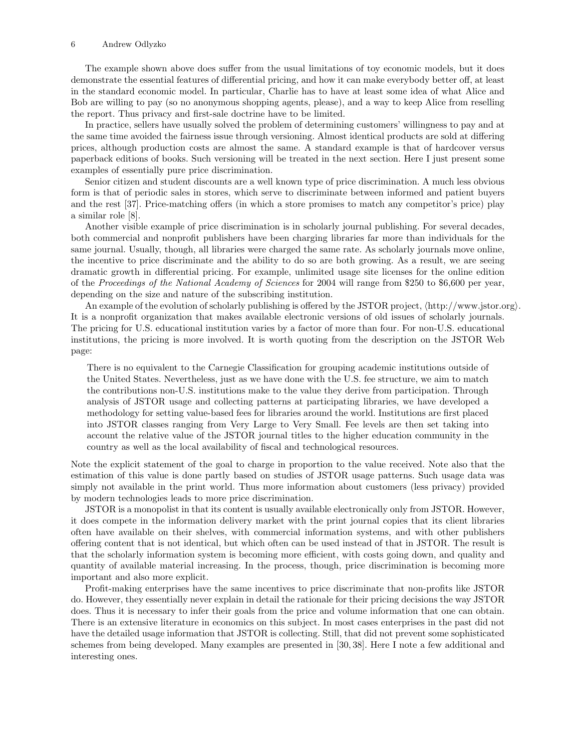The example shown above does suffer from the usual limitations of toy economic models, but it does demonstrate the essential features of differential pricing, and how it can make everybody better off, at least in the standard economic model. In particular, Charlie has to have at least some idea of what Alice and Bob are willing to pay (so no anonymous shopping agents, please), and a way to keep Alice from reselling the report. Thus privacy and first-sale doctrine have to be limited.

In practice, sellers have usually solved the problem of determining customers' willingness to pay and at the same time avoided the fairness issue through versioning. Almost identical products are sold at differing prices, although production costs are almost the same. A standard example is that of hardcover versus paperback editions of books. Such versioning will be treated in the next section. Here I just present some examples of essentially pure price discrimination.

Senior citizen and student discounts are a well known type of price discrimination. A much less obvious form is that of periodic sales in stores, which serve to discriminate between informed and patient buyers and the rest [37]. Price-matching offers (in which a store promises to match any competitor's price) play a similar role [8].

Another visible example of price discrimination is in scholarly journal publishing. For several decades, both commercial and nonprofit publishers have been charging libraries far more than individuals for the same journal. Usually, though, all libraries were charged the same rate. As scholarly journals move online, the incentive to price discriminate and the ability to do so are both growing. As a result, we are seeing dramatic growth in differential pricing. For example, unlimited usage site licenses for the online edition of the Proceedings of the National Academy of Sciences for 2004 will range from \$250 to \$6,600 per year, depending on the size and nature of the subscribing institution.

An example of the evolution of scholarly publishing is offered by the JSTOR project,  $\langle \text{http://www.jstor.org}\rangle$ . It is a nonprofit organization that makes available electronic versions of old issues of scholarly journals. The pricing for U.S. educational institution varies by a factor of more than four. For non-U.S. educational institutions, the pricing is more involved. It is worth quoting from the description on the JSTOR Web page:

There is no equivalent to the Carnegie Classification for grouping academic institutions outside of the United States. Nevertheless, just as we have done with the U.S. fee structure, we aim to match the contributions non-U.S. institutions make to the value they derive from participation. Through analysis of JSTOR usage and collecting patterns at participating libraries, we have developed a methodology for setting value-based fees for libraries around the world. Institutions are first placed into JSTOR classes ranging from Very Large to Very Small. Fee levels are then set taking into account the relative value of the JSTOR journal titles to the higher education community in the country as well as the local availability of fiscal and technological resources.

Note the explicit statement of the goal to charge in proportion to the value received. Note also that the estimation of this value is done partly based on studies of JSTOR usage patterns. Such usage data was simply not available in the print world. Thus more information about customers (less privacy) provided by modern technologies leads to more price discrimination.

JSTOR is a monopolist in that its content is usually available electronically only from JSTOR. However, it does compete in the information delivery market with the print journal copies that its client libraries often have available on their shelves, with commercial information systems, and with other publishers offering content that is not identical, but which often can be used instead of that in JSTOR. The result is that the scholarly information system is becoming more efficient, with costs going down, and quality and quantity of available material increasing. In the process, though, price discrimination is becoming more important and also more explicit.

Profit-making enterprises have the same incentives to price discriminate that non-profits like JSTOR do. However, they essentially never explain in detail the rationale for their pricing decisions the way JSTOR does. Thus it is necessary to infer their goals from the price and volume information that one can obtain. There is an extensive literature in economics on this subject. In most cases enterprises in the past did not have the detailed usage information that JSTOR is collecting. Still, that did not prevent some sophisticated schemes from being developed. Many examples are presented in [30, 38]. Here I note a few additional and interesting ones.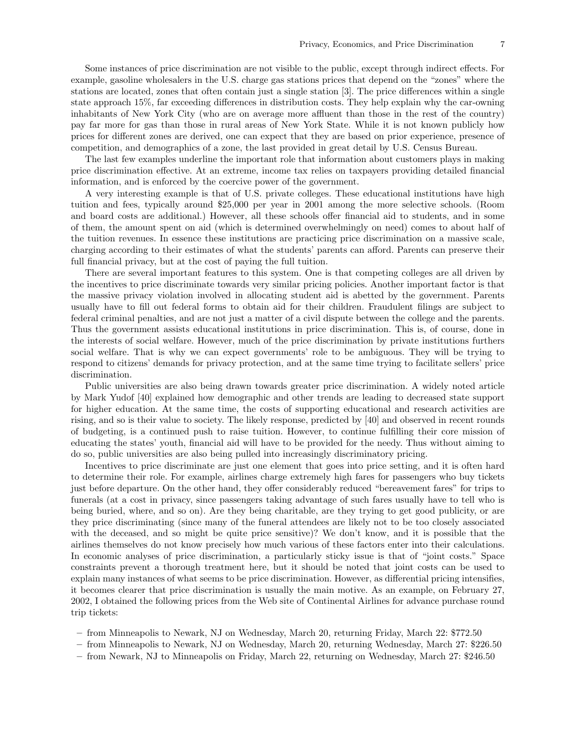Some instances of price discrimination are not visible to the public, except through indirect effects. For example, gasoline wholesalers in the U.S. charge gas stations prices that depend on the "zones" where the stations are located, zones that often contain just a single station [3]. The price differences within a single state approach 15%, far exceeding differences in distribution costs. They help explain why the car-owning inhabitants of New York City (who are on average more affluent than those in the rest of the country) pay far more for gas than those in rural areas of New York State. While it is not known publicly how prices for different zones are derived, one can expect that they are based on prior experience, presence of competition, and demographics of a zone, the last provided in great detail by U.S. Census Bureau.

The last few examples underline the important role that information about customers plays in making price discrimination effective. At an extreme, income tax relies on taxpayers providing detailed financial information, and is enforced by the coercive power of the government.

A very interesting example is that of U.S. private colleges. These educational institutions have high tuition and fees, typically around \$25,000 per year in 2001 among the more selective schools. (Room and board costs are additional.) However, all these schools offer financial aid to students, and in some of them, the amount spent on aid (which is determined overwhelmingly on need) comes to about half of the tuition revenues. In essence these institutions are practicing price discrimination on a massive scale, charging according to their estimates of what the students' parents can afford. Parents can preserve their full financial privacy, but at the cost of paying the full tuition.

There are several important features to this system. One is that competing colleges are all driven by the incentives to price discriminate towards very similar pricing policies. Another important factor is that the massive privacy violation involved in allocating student aid is abetted by the government. Parents usually have to fill out federal forms to obtain aid for their children. Fraudulent filings are subject to federal criminal penalties, and are not just a matter of a civil dispute between the college and the parents. Thus the government assists educational institutions in price discrimination. This is, of course, done in the interests of social welfare. However, much of the price discrimination by private institutions furthers social welfare. That is why we can expect governments' role to be ambiguous. They will be trying to respond to citizens' demands for privacy protection, and at the same time trying to facilitate sellers' price discrimination.

Public universities are also being drawn towards greater price discrimination. A widely noted article by Mark Yudof [40] explained how demographic and other trends are leading to decreased state support for higher education. At the same time, the costs of supporting educational and research activities are rising, and so is their value to society. The likely response, predicted by [40] and observed in recent rounds of budgeting, is a continued push to raise tuition. However, to continue fulfilling their core mission of educating the states' youth, financial aid will have to be provided for the needy. Thus without aiming to do so, public universities are also being pulled into increasingly discriminatory pricing.

Incentives to price discriminate are just one element that goes into price setting, and it is often hard to determine their role. For example, airlines charge extremely high fares for passengers who buy tickets just before departure. On the other hand, they offer considerably reduced "bereavement fares" for trips to funerals (at a cost in privacy, since passengers taking advantage of such fares usually have to tell who is being buried, where, and so on). Are they being charitable, are they trying to get good publicity, or are they price discriminating (since many of the funeral attendees are likely not to be too closely associated with the deceased, and so might be quite price sensitive)? We don't know, and it is possible that the airlines themselves do not know precisely how much various of these factors enter into their calculations. In economic analyses of price discrimination, a particularly sticky issue is that of "joint costs." Space constraints prevent a thorough treatment here, but it should be noted that joint costs can be used to explain many instances of what seems to be price discrimination. However, as differential pricing intensifies, it becomes clearer that price discrimination is usually the main motive. As an example, on February 27, 2002, I obtained the following prices from the Web site of Continental Airlines for advance purchase round trip tickets:

- from Minneapolis to Newark, NJ on Wednesday, March 20, returning Friday, March 22: \$772.50
- from Minneapolis to Newark, NJ on Wednesday, March 20, returning Wednesday, March 27: \$226.50
- from Newark, NJ to Minneapolis on Friday, March 22, returning on Wednesday, March 27: \$246.50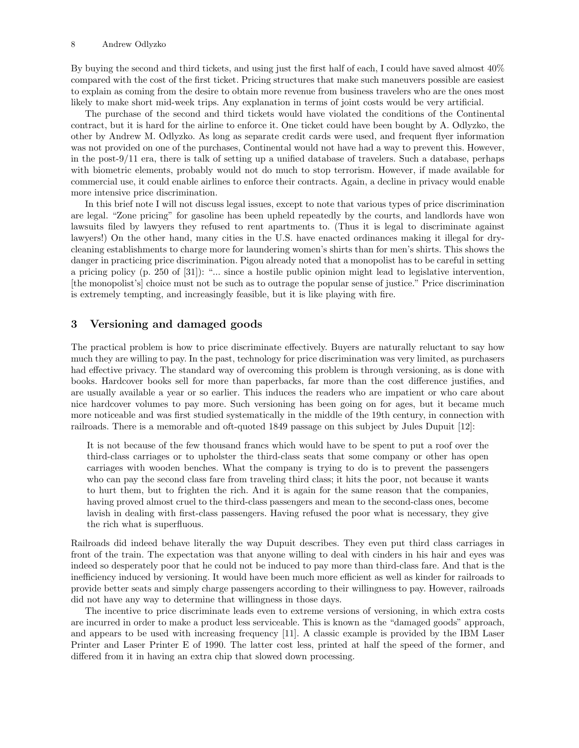By buying the second and third tickets, and using just the first half of each, I could have saved almost 40% compared with the cost of the first ticket. Pricing structures that make such maneuvers possible are easiest to explain as coming from the desire to obtain more revenue from business travelers who are the ones most likely to make short mid-week trips. Any explanation in terms of joint costs would be very artificial.

The purchase of the second and third tickets would have violated the conditions of the Continental contract, but it is hard for the airline to enforce it. One ticket could have been bought by A. Odlyzko, the other by Andrew M. Odlyzko. As long as separate credit cards were used, and frequent flyer information was not provided on one of the purchases, Continental would not have had a way to prevent this. However, in the post-9/11 era, there is talk of setting up a unified database of travelers. Such a database, perhaps with biometric elements, probably would not do much to stop terrorism. However, if made available for commercial use, it could enable airlines to enforce their contracts. Again, a decline in privacy would enable more intensive price discrimination.

In this brief note I will not discuss legal issues, except to note that various types of price discrimination are legal. "Zone pricing" for gasoline has been upheld repeatedly by the courts, and landlords have won lawsuits filed by lawyers they refused to rent apartments to. (Thus it is legal to discriminate against lawyers!) On the other hand, many cities in the U.S. have enacted ordinances making it illegal for drycleaning establishments to charge more for laundering women's shirts than for men's shirts. This shows the danger in practicing price discrimination. Pigou already noted that a monopolist has to be careful in setting a pricing policy (p. 250 of [31]): "... since a hostile public opinion might lead to legislative intervention, [the monopolist's] choice must not be such as to outrage the popular sense of justice." Price discrimination is extremely tempting, and increasingly feasible, but it is like playing with fire.

# 3 Versioning and damaged goods

The practical problem is how to price discriminate effectively. Buyers are naturally reluctant to say how much they are willing to pay. In the past, technology for price discrimination was very limited, as purchasers had effective privacy. The standard way of overcoming this problem is through versioning, as is done with books. Hardcover books sell for more than paperbacks, far more than the cost difference justifies, and are usually available a year or so earlier. This induces the readers who are impatient or who care about nice hardcover volumes to pay more. Such versioning has been going on for ages, but it became much more noticeable and was first studied systematically in the middle of the 19th century, in connection with railroads. There is a memorable and oft-quoted 1849 passage on this subject by Jules Dupuit [12]:

It is not because of the few thousand francs which would have to be spent to put a roof over the third-class carriages or to upholster the third-class seats that some company or other has open carriages with wooden benches. What the company is trying to do is to prevent the passengers who can pay the second class fare from traveling third class; it hits the poor, not because it wants to hurt them, but to frighten the rich. And it is again for the same reason that the companies, having proved almost cruel to the third-class passengers and mean to the second-class ones, become lavish in dealing with first-class passengers. Having refused the poor what is necessary, they give the rich what is superfluous.

Railroads did indeed behave literally the way Dupuit describes. They even put third class carriages in front of the train. The expectation was that anyone willing to deal with cinders in his hair and eyes was indeed so desperately poor that he could not be induced to pay more than third-class fare. And that is the inefficiency induced by versioning. It would have been much more efficient as well as kinder for railroads to provide better seats and simply charge passengers according to their willingness to pay. However, railroads did not have any way to determine that willingness in those days.

The incentive to price discriminate leads even to extreme versions of versioning, in which extra costs are incurred in order to make a product less serviceable. This is known as the "damaged goods" approach, and appears to be used with increasing frequency [11]. A classic example is provided by the IBM Laser Printer and Laser Printer E of 1990. The latter cost less, printed at half the speed of the former, and differed from it in having an extra chip that slowed down processing.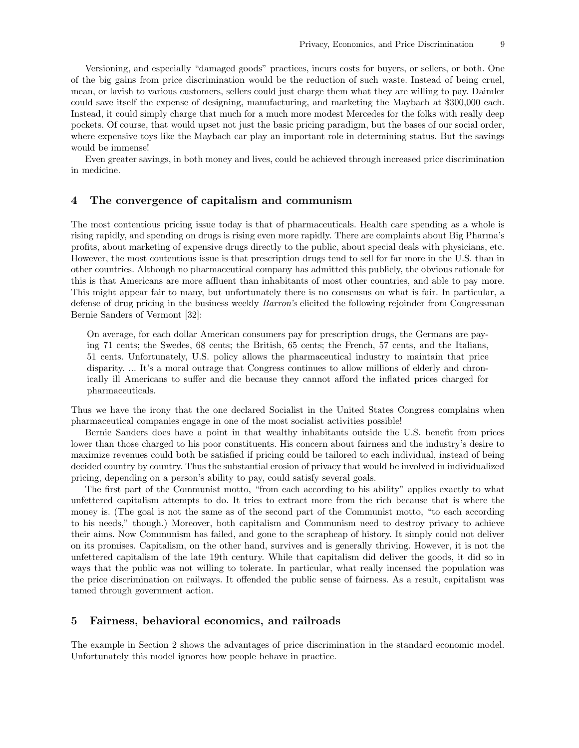Versioning, and especially "damaged goods" practices, incurs costs for buyers, or sellers, or both. One of the big gains from price discrimination would be the reduction of such waste. Instead of being cruel, mean, or lavish to various customers, sellers could just charge them what they are willing to pay. Daimler could save itself the expense of designing, manufacturing, and marketing the Maybach at \$300,000 each. Instead, it could simply charge that much for a much more modest Mercedes for the folks with really deep pockets. Of course, that would upset not just the basic pricing paradigm, but the bases of our social order, where expensive toys like the Maybach car play an important role in determining status. But the savings would be immense!

Even greater savings, in both money and lives, could be achieved through increased price discrimination in medicine.

# 4 The convergence of capitalism and communism

The most contentious pricing issue today is that of pharmaceuticals. Health care spending as a whole is rising rapidly, and spending on drugs is rising even more rapidly. There are complaints about Big Pharma's profits, about marketing of expensive drugs directly to the public, about special deals with physicians, etc. However, the most contentious issue is that prescription drugs tend to sell for far more in the U.S. than in other countries. Although no pharmaceutical company has admitted this publicly, the obvious rationale for this is that Americans are more affluent than inhabitants of most other countries, and able to pay more. This might appear fair to many, but unfortunately there is no consensus on what is fair. In particular, a defense of drug pricing in the business weekly Barron's elicited the following rejoinder from Congressman Bernie Sanders of Vermont [32]:

On average, for each dollar American consumers pay for prescription drugs, the Germans are paying 71 cents; the Swedes, 68 cents; the British, 65 cents; the French, 57 cents, and the Italians, 51 cents. Unfortunately, U.S. policy allows the pharmaceutical industry to maintain that price disparity. ... It's a moral outrage that Congress continues to allow millions of elderly and chronically ill Americans to suffer and die because they cannot afford the inflated prices charged for pharmaceuticals.

Thus we have the irony that the one declared Socialist in the United States Congress complains when pharmaceutical companies engage in one of the most socialist activities possible!

Bernie Sanders does have a point in that wealthy inhabitants outside the U.S. benefit from prices lower than those charged to his poor constituents. His concern about fairness and the industry's desire to maximize revenues could both be satisfied if pricing could be tailored to each individual, instead of being decided country by country. Thus the substantial erosion of privacy that would be involved in individualized pricing, depending on a person's ability to pay, could satisfy several goals.

The first part of the Communist motto, "from each according to his ability" applies exactly to what unfettered capitalism attempts to do. It tries to extract more from the rich because that is where the money is. (The goal is not the same as of the second part of the Communist motto, "to each according to his needs," though.) Moreover, both capitalism and Communism need to destroy privacy to achieve their aims. Now Communism has failed, and gone to the scrapheap of history. It simply could not deliver on its promises. Capitalism, on the other hand, survives and is generally thriving. However, it is not the unfettered capitalism of the late 19th century. While that capitalism did deliver the goods, it did so in ways that the public was not willing to tolerate. In particular, what really incensed the population was the price discrimination on railways. It offended the public sense of fairness. As a result, capitalism was tamed through government action.

#### 5 Fairness, behavioral economics, and railroads

The example in Section 2 shows the advantages of price discrimination in the standard economic model. Unfortunately this model ignores how people behave in practice.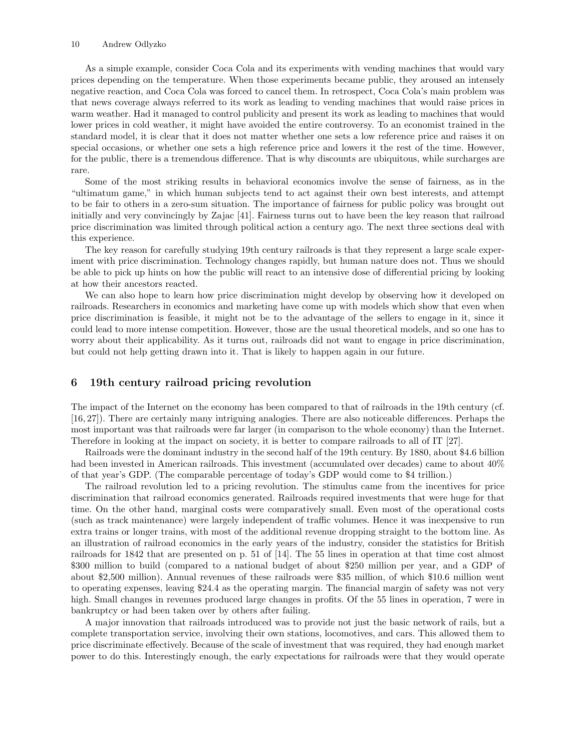As a simple example, consider Coca Cola and its experiments with vending machines that would vary prices depending on the temperature. When those experiments became public, they aroused an intensely negative reaction, and Coca Cola was forced to cancel them. In retrospect, Coca Cola's main problem was that news coverage always referred to its work as leading to vending machines that would raise prices in warm weather. Had it managed to control publicity and present its work as leading to machines that would lower prices in cold weather, it might have avoided the entire controversy. To an economist trained in the standard model, it is clear that it does not matter whether one sets a low reference price and raises it on special occasions, or whether one sets a high reference price and lowers it the rest of the time. However, for the public, there is a tremendous difference. That is why discounts are ubiquitous, while surcharges are rare.

Some of the most striking results in behavioral economics involve the sense of fairness, as in the "ultimatum game," in which human subjects tend to act against their own best interests, and attempt to be fair to others in a zero-sum situation. The importance of fairness for public policy was brought out initially and very convincingly by Zajac [41]. Fairness turns out to have been the key reason that railroad price discrimination was limited through political action a century ago. The next three sections deal with this experience.

The key reason for carefully studying 19th century railroads is that they represent a large scale experiment with price discrimination. Technology changes rapidly, but human nature does not. Thus we should be able to pick up hints on how the public will react to an intensive dose of differential pricing by looking at how their ancestors reacted.

We can also hope to learn how price discrimination might develop by observing how it developed on railroads. Researchers in economics and marketing have come up with models which show that even when price discrimination is feasible, it might not be to the advantage of the sellers to engage in it, since it could lead to more intense competition. However, those are the usual theoretical models, and so one has to worry about their applicability. As it turns out, railroads did not want to engage in price discrimination, but could not help getting drawn into it. That is likely to happen again in our future.

### 6 19th century railroad pricing revolution

The impact of the Internet on the economy has been compared to that of railroads in the 19th century (cf. [16, 27]). There are certainly many intriguing analogies. There are also noticeable differences. Perhaps the most important was that railroads were far larger (in comparison to the whole economy) than the Internet. Therefore in looking at the impact on society, it is better to compare railroads to all of IT [27].

Railroads were the dominant industry in the second half of the 19th century. By 1880, about \$4.6 billion had been invested in American railroads. This investment (accumulated over decades) came to about 40% of that year's GDP. (The comparable percentage of today's GDP would come to \$4 trillion.)

The railroad revolution led to a pricing revolution. The stimulus came from the incentives for price discrimination that railroad economics generated. Railroads required investments that were huge for that time. On the other hand, marginal costs were comparatively small. Even most of the operational costs (such as track maintenance) were largely independent of traffic volumes. Hence it was inexpensive to run extra trains or longer trains, with most of the additional revenue dropping straight to the bottom line. As an illustration of railroad economics in the early years of the industry, consider the statistics for British railroads for 1842 that are presented on p. 51 of [14]. The 55 lines in operation at that time cost almost \$300 million to build (compared to a national budget of about \$250 million per year, and a GDP of about \$2,500 million). Annual revenues of these railroads were \$35 million, of which \$10.6 million went to operating expenses, leaving \$24.4 as the operating margin. The financial margin of safety was not very high. Small changes in revenues produced large changes in profits. Of the 55 lines in operation, 7 were in bankruptcy or had been taken over by others after failing.

A major innovation that railroads introduced was to provide not just the basic network of rails, but a complete transportation service, involving their own stations, locomotives, and cars. This allowed them to price discriminate effectively. Because of the scale of investment that was required, they had enough market power to do this. Interestingly enough, the early expectations for railroads were that they would operate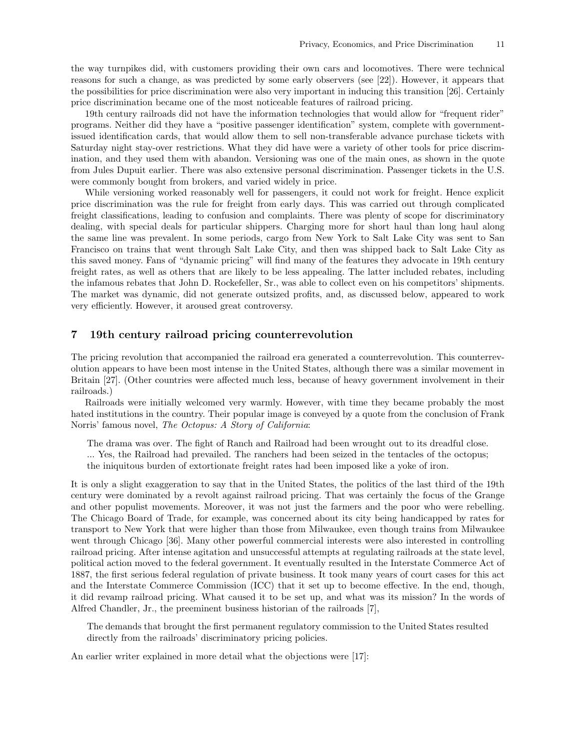the way turnpikes did, with customers providing their own cars and locomotives. There were technical reasons for such a change, as was predicted by some early observers (see [22]). However, it appears that the possibilities for price discrimination were also very important in inducing this transition [26]. Certainly price discrimination became one of the most noticeable features of railroad pricing.

19th century railroads did not have the information technologies that would allow for "frequent rider" programs. Neither did they have a "positive passenger identification" system, complete with governmentissued identification cards, that would allow them to sell non-transferable advance purchase tickets with Saturday night stay-over restrictions. What they did have were a variety of other tools for price discrimination, and they used them with abandon. Versioning was one of the main ones, as shown in the quote from Jules Dupuit earlier. There was also extensive personal discrimination. Passenger tickets in the U.S. were commonly bought from brokers, and varied widely in price.

While versioning worked reasonably well for passengers, it could not work for freight. Hence explicit price discrimination was the rule for freight from early days. This was carried out through complicated freight classifications, leading to confusion and complaints. There was plenty of scope for discriminatory dealing, with special deals for particular shippers. Charging more for short haul than long haul along the same line was prevalent. In some periods, cargo from New York to Salt Lake City was sent to San Francisco on trains that went through Salt Lake City, and then was shipped back to Salt Lake City as this saved money. Fans of "dynamic pricing" will find many of the features they advocate in 19th century freight rates, as well as others that are likely to be less appealing. The latter included rebates, including the infamous rebates that John D. Rockefeller, Sr., was able to collect even on his competitors' shipments. The market was dynamic, did not generate outsized profits, and, as discussed below, appeared to work very efficiently. However, it aroused great controversy.

# 7 19th century railroad pricing counterrevolution

The pricing revolution that accompanied the railroad era generated a counterrevolution. This counterrevolution appears to have been most intense in the United States, although there was a similar movement in Britain [27]. (Other countries were affected much less, because of heavy government involvement in their railroads.)

Railroads were initially welcomed very warmly. However, with time they became probably the most hated institutions in the country. Their popular image is conveyed by a quote from the conclusion of Frank Norris' famous novel, The Octopus: A Story of California:

The drama was over. The fight of Ranch and Railroad had been wrought out to its dreadful close. ... Yes, the Railroad had prevailed. The ranchers had been seized in the tentacles of the octopus; the iniquitous burden of extortionate freight rates had been imposed like a yoke of iron.

It is only a slight exaggeration to say that in the United States, the politics of the last third of the 19th century were dominated by a revolt against railroad pricing. That was certainly the focus of the Grange and other populist movements. Moreover, it was not just the farmers and the poor who were rebelling. The Chicago Board of Trade, for example, was concerned about its city being handicapped by rates for transport to New York that were higher than those from Milwaukee, even though trains from Milwaukee went through Chicago [36]. Many other powerful commercial interests were also interested in controlling railroad pricing. After intense agitation and unsuccessful attempts at regulating railroads at the state level, political action moved to the federal government. It eventually resulted in the Interstate Commerce Act of 1887, the first serious federal regulation of private business. It took many years of court cases for this act and the Interstate Commerce Commission (ICC) that it set up to become effective. In the end, though, it did revamp railroad pricing. What caused it to be set up, and what was its mission? In the words of Alfred Chandler, Jr., the preeminent business historian of the railroads [7],

The demands that brought the first permanent regulatory commission to the United States resulted directly from the railroads' discriminatory pricing policies.

An earlier writer explained in more detail what the objections were [17]: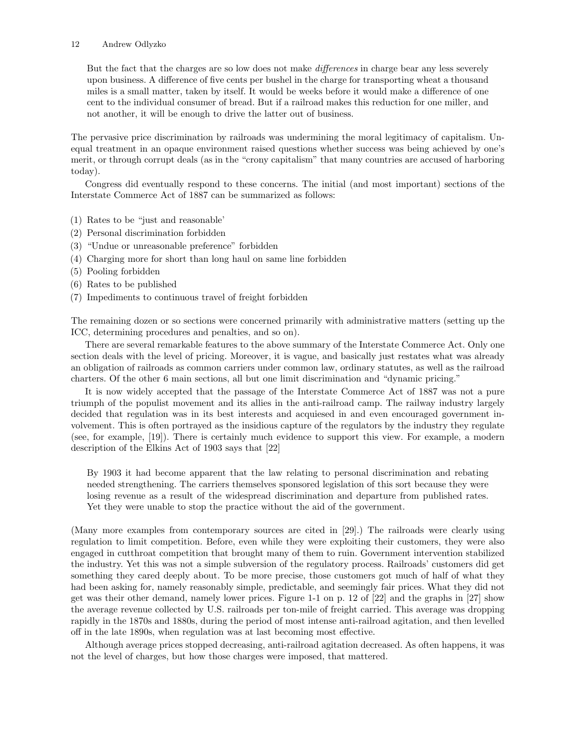But the fact that the charges are so low does not make differences in charge bear any less severely upon business. A difference of five cents per bushel in the charge for transporting wheat a thousand miles is a small matter, taken by itself. It would be weeks before it would make a difference of one cent to the individual consumer of bread. But if a railroad makes this reduction for one miller, and not another, it will be enough to drive the latter out of business.

The pervasive price discrimination by railroads was undermining the moral legitimacy of capitalism. Unequal treatment in an opaque environment raised questions whether success was being achieved by one's merit, or through corrupt deals (as in the "crony capitalism" that many countries are accused of harboring today).

Congress did eventually respond to these concerns. The initial (and most important) sections of the Interstate Commerce Act of 1887 can be summarized as follows:

(1) Rates to be "just and reasonable'

- (2) Personal discrimination forbidden
- (3) "Undue or unreasonable preference" forbidden
- (4) Charging more for short than long haul on same line forbidden
- (5) Pooling forbidden
- (6) Rates to be published
- (7) Impediments to continuous travel of freight forbidden

The remaining dozen or so sections were concerned primarily with administrative matters (setting up the ICC, determining procedures and penalties, and so on).

There are several remarkable features to the above summary of the Interstate Commerce Act. Only one section deals with the level of pricing. Moreover, it is vague, and basically just restates what was already an obligation of railroads as common carriers under common law, ordinary statutes, as well as the railroad charters. Of the other 6 main sections, all but one limit discrimination and "dynamic pricing."

It is now widely accepted that the passage of the Interstate Commerce Act of 1887 was not a pure triumph of the populist movement and its allies in the anti-railroad camp. The railway industry largely decided that regulation was in its best interests and acquiesed in and even encouraged government involvement. This is often portrayed as the insidious capture of the regulators by the industry they regulate (see, for example, [19]). There is certainly much evidence to support this view. For example, a modern description of the Elkins Act of 1903 says that [22]

By 1903 it had become apparent that the law relating to personal discrimination and rebating needed strengthening. The carriers themselves sponsored legislation of this sort because they were losing revenue as a result of the widespread discrimination and departure from published rates. Yet they were unable to stop the practice without the aid of the government.

(Many more examples from contemporary sources are cited in [29].) The railroads were clearly using regulation to limit competition. Before, even while they were exploiting their customers, they were also engaged in cutthroat competition that brought many of them to ruin. Government intervention stabilized the industry. Yet this was not a simple subversion of the regulatory process. Railroads' customers did get something they cared deeply about. To be more precise, those customers got much of half of what they had been asking for, namely reasonably simple, predictable, and seemingly fair prices. What they did not get was their other demand, namely lower prices. Figure 1-1 on p. 12 of [22] and the graphs in [27] show the average revenue collected by U.S. railroads per ton-mile of freight carried. This average was dropping rapidly in the 1870s and 1880s, during the period of most intense anti-railroad agitation, and then levelled off in the late 1890s, when regulation was at last becoming most effective.

Although average prices stopped decreasing, anti-railroad agitation decreased. As often happens, it was not the level of charges, but how those charges were imposed, that mattered.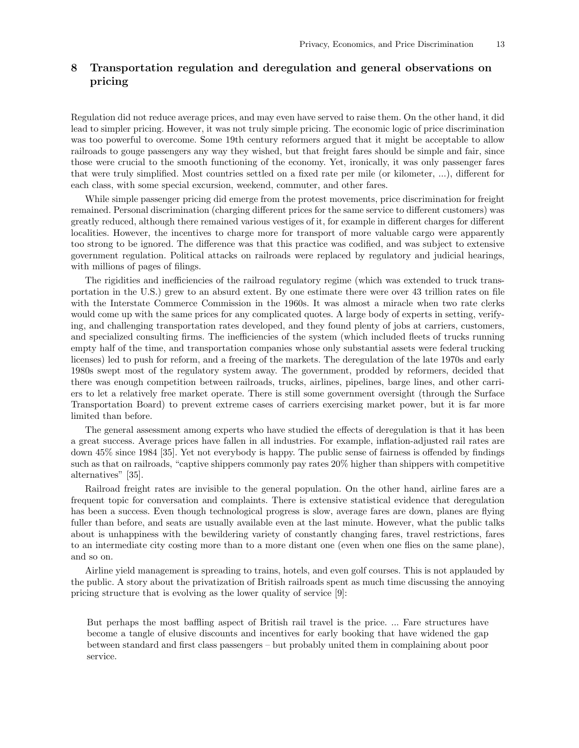# 8 Transportation regulation and deregulation and general observations on pricing

Regulation did not reduce average prices, and may even have served to raise them. On the other hand, it did lead to simpler pricing. However, it was not truly simple pricing. The economic logic of price discrimination was too powerful to overcome. Some 19th century reformers argued that it might be acceptable to allow railroads to gouge passengers any way they wished, but that freight fares should be simple and fair, since those were crucial to the smooth functioning of the economy. Yet, ironically, it was only passenger fares that were truly simplified. Most countries settled on a fixed rate per mile (or kilometer, ...), different for each class, with some special excursion, weekend, commuter, and other fares.

While simple passenger pricing did emerge from the protest movements, price discrimination for freight remained. Personal discrimination (charging different prices for the same service to different customers) was greatly reduced, although there remained various vestiges of it, for example in different charges for different localities. However, the incentives to charge more for transport of more valuable cargo were apparently too strong to be ignored. The difference was that this practice was codified, and was subject to extensive government regulation. Political attacks on railroads were replaced by regulatory and judicial hearings, with millions of pages of filings.

The rigidities and inefficiencies of the railroad regulatory regime (which was extended to truck transportation in the U.S.) grew to an absurd extent. By one estimate there were over 43 trillion rates on file with the Interstate Commerce Commission in the 1960s. It was almost a miracle when two rate clerks would come up with the same prices for any complicated quotes. A large body of experts in setting, verifying, and challenging transportation rates developed, and they found plenty of jobs at carriers, customers, and specialized consulting firms. The inefficiencies of the system (which included fleets of trucks running empty half of the time, and transportation companies whose only substantial assets were federal trucking licenses) led to push for reform, and a freeing of the markets. The deregulation of the late 1970s and early 1980s swept most of the regulatory system away. The government, prodded by reformers, decided that there was enough competition between railroads, trucks, airlines, pipelines, barge lines, and other carriers to let a relatively free market operate. There is still some government oversight (through the Surface Transportation Board) to prevent extreme cases of carriers exercising market power, but it is far more limited than before.

The general assessment among experts who have studied the effects of deregulation is that it has been a great success. Average prices have fallen in all industries. For example, inflation-adjusted rail rates are down 45% since 1984 [35]. Yet not everybody is happy. The public sense of fairness is offended by findings such as that on railroads, "captive shippers commonly pay rates 20% higher than shippers with competitive alternatives" [35].

Railroad freight rates are invisible to the general population. On the other hand, airline fares are a frequent topic for conversation and complaints. There is extensive statistical evidence that deregulation has been a success. Even though technological progress is slow, average fares are down, planes are flying fuller than before, and seats are usually available even at the last minute. However, what the public talks about is unhappiness with the bewildering variety of constantly changing fares, travel restrictions, fares to an intermediate city costing more than to a more distant one (even when one flies on the same plane), and so on.

Airline yield management is spreading to trains, hotels, and even golf courses. This is not applauded by the public. A story about the privatization of British railroads spent as much time discussing the annoying pricing structure that is evolving as the lower quality of service [9]:

But perhaps the most baffling aspect of British rail travel is the price. ... Fare structures have become a tangle of elusive discounts and incentives for early booking that have widened the gap between standard and first class passengers – but probably united them in complaining about poor service.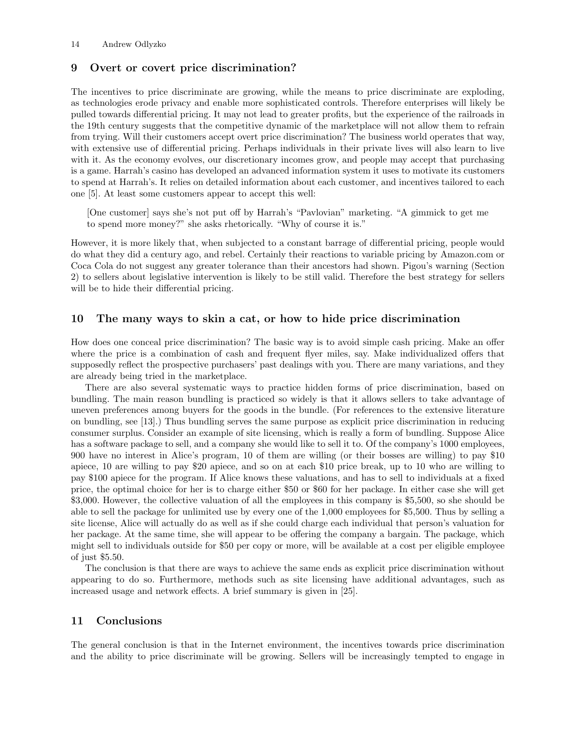## 9 Overt or covert price discrimination?

The incentives to price discriminate are growing, while the means to price discriminate are exploding, as technologies erode privacy and enable more sophisticated controls. Therefore enterprises will likely be pulled towards differential pricing. It may not lead to greater profits, but the experience of the railroads in the 19th century suggests that the competitive dynamic of the marketplace will not allow them to refrain from trying. Will their customers accept overt price discrimination? The business world operates that way, with extensive use of differential pricing. Perhaps individuals in their private lives will also learn to live with it. As the economy evolves, our discretionary incomes grow, and people may accept that purchasing is a game. Harrah's casino has developed an advanced information system it uses to motivate its customers to spend at Harrah's. It relies on detailed information about each customer, and incentives tailored to each one [5]. At least some customers appear to accept this well:

[One customer] says she's not put off by Harrah's "Pavlovian" marketing. "A gimmick to get me to spend more money?" she asks rhetorically. "Why of course it is."

However, it is more likely that, when subjected to a constant barrage of differential pricing, people would do what they did a century ago, and rebel. Certainly their reactions to variable pricing by Amazon.com or Coca Cola do not suggest any greater tolerance than their ancestors had shown. Pigou's warning (Section 2) to sellers about legislative intervention is likely to be still valid. Therefore the best strategy for sellers will be to hide their differential pricing.

### 10 The many ways to skin a cat, or how to hide price discrimination

How does one conceal price discrimination? The basic way is to avoid simple cash pricing. Make an offer where the price is a combination of cash and frequent flyer miles, say. Make individualized offers that supposedly reflect the prospective purchasers' past dealings with you. There are many variations, and they are already being tried in the marketplace.

There are also several systematic ways to practice hidden forms of price discrimination, based on bundling. The main reason bundling is practiced so widely is that it allows sellers to take advantage of uneven preferences among buyers for the goods in the bundle. (For references to the extensive literature on bundling, see [13].) Thus bundling serves the same purpose as explicit price discrimination in reducing consumer surplus. Consider an example of site licensing, which is really a form of bundling. Suppose Alice has a software package to sell, and a company she would like to sell it to. Of the company's 1000 employees, 900 have no interest in Alice's program, 10 of them are willing (or their bosses are willing) to pay \$10 apiece, 10 are willing to pay \$20 apiece, and so on at each \$10 price break, up to 10 who are willing to pay \$100 apiece for the program. If Alice knows these valuations, and has to sell to individuals at a fixed price, the optimal choice for her is to charge either \$50 or \$60 for her package. In either case she will get \$3,000. However, the collective valuation of all the employees in this company is \$5,500, so she should be able to sell the package for unlimited use by every one of the 1,000 employees for \$5,500. Thus by selling a site license, Alice will actually do as well as if she could charge each individual that person's valuation for her package. At the same time, she will appear to be offering the company a bargain. The package, which might sell to individuals outside for \$50 per copy or more, will be available at a cost per eligible employee of just \$5.50.

The conclusion is that there are ways to achieve the same ends as explicit price discrimination without appearing to do so. Furthermore, methods such as site licensing have additional advantages, such as increased usage and network effects. A brief summary is given in [25].

## 11 Conclusions

The general conclusion is that in the Internet environment, the incentives towards price discrimination and the ability to price discriminate will be growing. Sellers will be increasingly tempted to engage in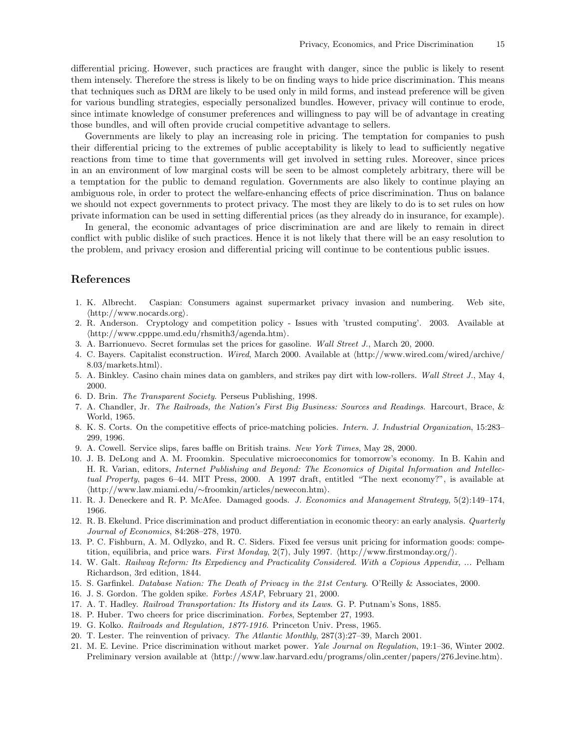differential pricing. However, such practices are fraught with danger, since the public is likely to resent them intensely. Therefore the stress is likely to be on finding ways to hide price discrimination. This means that techniques such as DRM are likely to be used only in mild forms, and instead preference will be given for various bundling strategies, especially personalized bundles. However, privacy will continue to erode, since intimate knowledge of consumer preferences and willingness to pay will be of advantage in creating those bundles, and will often provide crucial competitive advantage to sellers.

Governments are likely to play an increasing role in pricing. The temptation for companies to push their differential pricing to the extremes of public acceptability is likely to lead to sufficiently negative reactions from time to time that governments will get involved in setting rules. Moreover, since prices in an an environment of low marginal costs will be seen to be almost completely arbitrary, there will be a temptation for the public to demand regulation. Governments are also likely to continue playing an ambiguous role, in order to protect the welfare-enhancing effects of price discrimination. Thus on balance we should not expect governments to protect privacy. The most they are likely to do is to set rules on how private information can be used in setting differential prices (as they already do in insurance, for example).

In general, the economic advantages of price discrimination are and are likely to remain in direct conflict with public dislike of such practices. Hence it is not likely that there will be an easy resolution to the problem, and privacy erosion and differential pricing will continue to be contentious public issues.

# References

- 1. K. Albrecht. Caspian: Consumers against supermarket privacy invasion and numbering. Web site,  $\langle \frac{http://www.nocards.org}{...}$
- 2. R. Anderson. Cryptology and competition policy Issues with 'trusted computing'. 2003. Available at  $\langle \text{http://www.cpppe.umd.edu/rhsmith3/agenda.htm.} \rangle$ .
- 3. A. Barrionuevo. Secret formulas set the prices for gasoline. Wall Street J., March 20, 2000.
- 4. C. Bayers. Capitalist econstruction. Wired, March 2000. Available at  $\langle \text{http://www.wired.com/wired/archive/}$  $8.03/markets.html$ .
- 5. A. Binkley. Casino chain mines data on gamblers, and strikes pay dirt with low-rollers. Wall Street J., May 4, 2000.
- 6. D. Brin. The Transparent Society. Perseus Publishing, 1998.
- 7. A. Chandler, Jr. The Railroads, the Nation's First Big Business: Sources and Readings. Harcourt, Brace, & World, 1965.
- 8. K. S. Corts. On the competitive effects of price-matching policies. Intern. J. Industrial Organization, 15:283– 299, 1996.
- 9. A. Cowell. Service slips, fares baffle on British trains. New York Times, May 28, 2000.
- 10. J. B. DeLong and A. M. Froomkin. Speculative microeconomics for tomorrow's economy. In B. Kahin and H. R. Varian, editors, Internet Publishing and Beyond: The Economics of Digital Information and Intellectual Property, pages 6–44. MIT Press, 2000. A 1997 draft, entitled "The next economy?", is available at hhttp://www.law.miami.edu/∼froomkin/articles/newecon.htmi.
- 11. R. J. Deneckere and R. P. McAfee. Damaged goods. J. Economics and Management Strategy, 5(2):149–174, 1966.
- 12. R. B. Ekelund. Price discrimination and product differentiation in economic theory: an early analysis. *Quarterly* Journal of Economics, 84:268–278, 1970.
- 13. P. C. Fishburn, A. M. Odlyzko, and R. C. Siders. Fixed fee versus unit pricing for information goods: competition, equilibria, and price wars. First Monday, 2(7), July 1997.  $\langle$ http://www.firstmonday.org/ $\rangle$ .
- 14. W. Galt. Railway Reform: Its Expediency and Practicality Considered. With a Copious Appendix, ... Pelham Richardson, 3rd edition, 1844.
- 15. S. Garfinkel. Database Nation: The Death of Privacy in the 21st Century. O'Reilly & Associates, 2000.
- 16. J. S. Gordon. The golden spike. Forbes ASAP, February 21, 2000.
- 17. A. T. Hadley. Railroad Transportation: Its History and its Laws. G. P. Putnam's Sons, 1885.
- 18. P. Huber. Two cheers for price discrimination. Forbes, September 27, 1993.
- 19. G. Kolko. Railroads and Regulation, 1877-1916. Princeton Univ. Press, 1965.
- 20. T. Lester. The reinvention of privacy. The Atlantic Monthly, 287(3):27–39, March 2001.
- 21. M. E. Levine. Price discrimination without market power. Yale Journal on Regulation, 19:1–36, Winter 2002. Preliminary version available at  $\langle$ http://www.law.harvard.edu/programs/olin\_center/papers/276 levine.htm $\rangle$ .